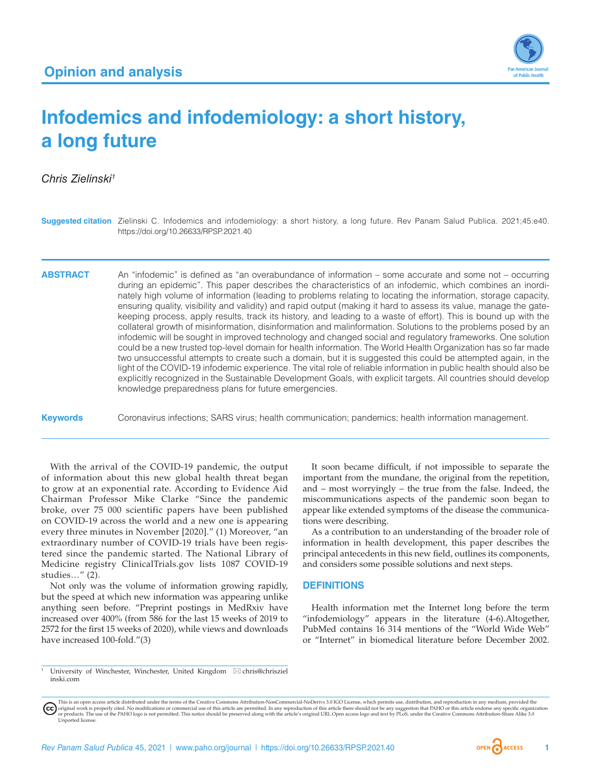

# **Infodemics and infodemiology: a short history, a long future**

*Chris Zielinski1*

|                 | <b>Suggested citation</b> Zielinski C. Infodemics and infodemiology: a short history, a long future. Rev Panam Salud Publica. 2021;45:e40.<br>https://doi.org/10.26633/RPSP.2021.40                                                                                                                                                                                                                                                                                                                                                                                                                                                                                                                                                                                                                                                                                                                                                                                                                                                                                                                                                                                                                                                                                                                                                           |
|-----------------|-----------------------------------------------------------------------------------------------------------------------------------------------------------------------------------------------------------------------------------------------------------------------------------------------------------------------------------------------------------------------------------------------------------------------------------------------------------------------------------------------------------------------------------------------------------------------------------------------------------------------------------------------------------------------------------------------------------------------------------------------------------------------------------------------------------------------------------------------------------------------------------------------------------------------------------------------------------------------------------------------------------------------------------------------------------------------------------------------------------------------------------------------------------------------------------------------------------------------------------------------------------------------------------------------------------------------------------------------|
| <b>ABSTRACT</b> | An "infodemic" is defined as "an overabundance of information – some accurate and some not – occurring<br>during an epidemic". This paper describes the characteristics of an infodemic, which combines an inordi-<br>nately high volume of information (leading to problems relating to locating the information, storage capacity,<br>ensuring quality, visibility and validity) and rapid output (making it hard to assess its value, manage the gate-<br>keeping process, apply results, track its history, and leading to a waste of effort). This is bound up with the<br>collateral growth of misinformation, disinformation and malinformation. Solutions to the problems posed by an<br>infodemic will be sought in improved technology and changed social and regulatory frameworks. One solution<br>could be a new trusted top-level domain for health information. The World Health Organization has so far made<br>two unsuccessful attempts to create such a domain, but it is suggested this could be attempted again, in the<br>light of the COVID-19 infodemic experience. The vital role of reliable information in public health should also be<br>explicitly recognized in the Sustainable Development Goals, with explicit targets. All countries should develop<br>knowledge preparedness plans for future emergencies. |
| <b>Keywords</b> | Coronavirus infections; SARS virus; health communication; pandemics; health information management.                                                                                                                                                                                                                                                                                                                                                                                                                                                                                                                                                                                                                                                                                                                                                                                                                                                                                                                                                                                                                                                                                                                                                                                                                                           |

With the arrival of the COVID-19 pandemic, the output of information about this new global health threat began to grow at an exponential rate. According to Evidence Aid Chairman Professor Mike Clarke "Since the pandemic broke, over 75 000 scientific papers have been published on COVID-19 across the world and a new one is appearing every three minutes in November [2020]." (1) Moreover, "an extraordinary number of COVID-19 trials have been registered since the pandemic started. The National Library of Medicine registry ClinicalTrials.gov lists 1087 COVID-19 studies…" (2).

Not only was the volume of information growing rapidly, but the speed at which new information was appearing unlike anything seen before. "Preprint postings in MedRxiv have increased over 400% (from 586 for the last 15 weeks of 2019 to 2572 for the first 15 weeks of 2020), while views and downloads have increased 100-fold."(3)

It soon became difficult, if not impossible to separate the important from the mundane, the original from the repetition, and – most worryingly – the true from the false. Indeed, the miscommunications aspects of the pandemic soon began to appear like extended symptoms of the disease the communications were describing.

As a contribution to an understanding of the broader role of information in health development, this paper describes the principal antecedents in this new field, outlines its components, and considers some possible solutions and next steps.

## **DEFINITIONS**

Health information met the Internet long before the term "infodemiology" appears in the literature (4-6).Altogether, PubMed contains 16 314 mentions of the "World Wide Web" or "Internet" in biomedical literature before December 2002.

University of Winchester, Winchester, United Kingdom  $\boxtimes$  [chris@chrisziel](mailto:chris@chriszielinski.com) [inski.com](mailto:chris@chriszielinski.com)

This is an open access article distributed under the terms of the [Creative Commons Attribution-NonCommercial-NoDerivs 3.0 IGO License](https://creativecommons.org/licenses/by-nc-nd/3.0/igo/legalcode), which permits use, distribution, and reproduction in any medium, provided the original work is properly cited. No modifications or commercial use of this article are permitted. In any reproduction of this article there should not be any suggestion that PAHO or this article endorse any specific organ [Unported](https://creativecommons.org/licenses/by-sa/3.0/deed.en) license.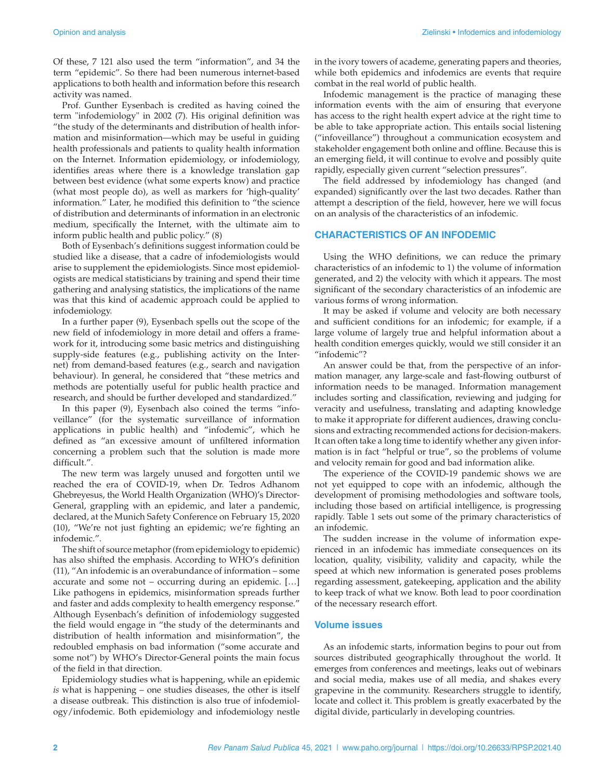Of these, 7 121 also used the term "information", and 34 the term "epidemic". So there had been numerous internet-based applications to both health and information before this research activity was named.

Prof. Gunther Eysenbach is credited as having coined the term "infodemiology" in 2002 (7). His original definition was "the study of the determinants and distribution of health information and misinformation—which may be useful in guiding health professionals and patients to quality health information on the Internet. Information epidemiology, or infodemiology, identifies areas where there is a knowledge translation gap between best evidence (what some experts know) and practice (what most people do), as well as markers for 'high-quality' information." Later, he modified this definition to "the science of distribution and determinants of information in an electronic medium, specifically the Internet, with the ultimate aim to inform public health and public policy." (8)

Both of Eysenbach's definitions suggest information could be studied like a disease, that a cadre of infodemiologists would arise to supplement the epidemiologists. Since most epidemiologists are medical statisticians by training and spend their time gathering and analysing statistics, the implications of the name was that this kind of academic approach could be applied to infodemiology.

In a further paper (9), Eysenbach spells out the scope of the new field of infodemiology in more detail and offers a framework for it, introducing some basic metrics and distinguishing supply-side features (e.g., publishing activity on the Internet) from demand-based features (e.g., search and navigation behaviour). In general, he considered that "these metrics and methods are potentially useful for public health practice and research, and should be further developed and standardized."

In this paper (9), Eysenbach also coined the terms "infoveillance" (for the systematic surveillance of information applications in public health) and "infodemic", which he defined as "an excessive amount of unfiltered information concerning a problem such that the solution is made more difficult.".

The new term was largely unused and forgotten until we reached the era of COVID-19, when Dr. Tedros Adhanom Ghebreyesus, the World Health Organization (WHO)'s Director-General, grappling with an epidemic, and later a pandemic, declared, at the Munich Safety Conference on February 15, 2020 (10), "We're not just fighting an epidemic; we're fighting an infodemic.".

The shift of source metaphor (from epidemiology to epidemic) has also shifted the emphasis. According to WHO's definition (11), "An infodemic is an overabundance of information – some accurate and some not – occurring during an epidemic. […] Like pathogens in epidemics, misinformation spreads further and faster and adds complexity to health emergency response." Although Eysenbach's definition of infodemiology suggested the field would engage in "the study of the determinants and distribution of health information and misinformation", the redoubled emphasis on bad information ("some accurate and some not") by WHO's Director-General points the main focus of the field in that direction.

Epidemiology studies what is happening, while an epidemic *is* what is happening – one studies diseases, the other is itself a disease outbreak. This distinction is also true of infodemiology/infodemic. Both epidemiology and infodemiology nestle

Infodemic management is the practice of managing these information events with the aim of ensuring that everyone has access to the right health expert advice at the right time to be able to take appropriate action. This entails social listening ("infoveillance") throughout a communication ecosystem and stakeholder engagement both online and offline. Because this is an emerging field, it will continue to evolve and possibly quite rapidly, especially given current "selection pressures".

The field addressed by infodemiology has changed (and expanded) significantly over the last two decades. Rather than attempt a description of the field, however, here we will focus on an analysis of the characteristics of an infodemic.

## **CHARACTERISTICS OF AN INFODEMIC**

Using the WHO definitions, we can reduce the primary characteristics of an infodemic to 1) the volume of information generated, and 2) the velocity with which it appears. The most significant of the secondary characteristics of an infodemic are various forms of wrong information.

It may be asked if volume and velocity are both necessary and sufficient conditions for an infodemic; for example, if a large volume of largely true and helpful information about a health condition emerges quickly, would we still consider it an "infodemic"?

An answer could be that, from the perspective of an information manager, any large-scale and fast-flowing outburst of information needs to be managed. Information management includes sorting and classification, reviewing and judging for veracity and usefulness, translating and adapting knowledge to make it appropriate for different audiences, drawing conclusions and extracting recommended actions for decision-makers. It can often take a long time to identify whether any given information is in fact "helpful or true", so the problems of volume and velocity remain for good and bad information alike.

The experience of the COVID-19 pandemic shows we are not yet equipped to cope with an infodemic, although the development of promising methodologies and software tools, including those based on artificial intelligence, is progressing rapidly. Table 1 sets out some of the primary characteristics of an infodemic.

The sudden increase in the volume of information experienced in an infodemic has immediate consequences on its location, quality, visibility, validity and capacity, while the speed at which new information is generated poses problems regarding assessment, gatekeeping, application and the ability to keep track of what we know. Both lead to poor coordination of the necessary research effort.

## **Volume issues**

As an infodemic starts, information begins to pour out from sources distributed geographically throughout the world. It emerges from conferences and meetings, leaks out of webinars and social media, makes use of all media, and shakes every grapevine in the community. Researchers struggle to identify, locate and collect it. This problem is greatly exacerbated by the digital divide, particularly in developing countries.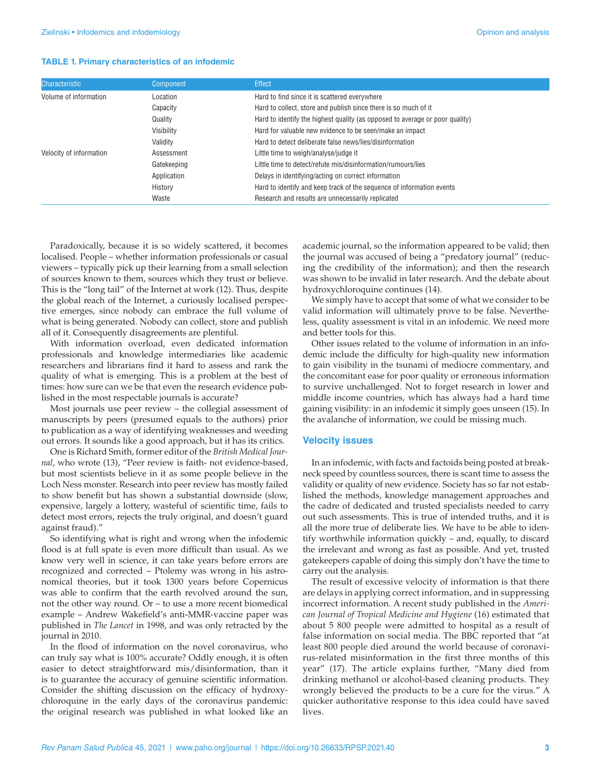#### **TABLE 1. Primary characteristics of an infodemic**

| <b>Characteristic</b>   | Component   | <b>Effect</b>                                                                |
|-------------------------|-------------|------------------------------------------------------------------------------|
| Volume of information   | Location    | Hard to find since it is scattered everywhere                                |
|                         | Capacity    | Hard to collect, store and publish since there is so much of it              |
|                         | Quality     | Hard to identify the highest quality (as opposed to average or poor quality) |
|                         | Visibility  | Hard for valuable new evidence to be seen/make an impact                     |
|                         | Validity    | Hard to detect deliberate false news/lies/disinformation                     |
| Velocity of information | Assessment  | Little time to weigh/analyse/judge it                                        |
|                         | Gatekeeping | Little time to detect/refute mis/disinformation/rumours/lies                 |
|                         | Application | Delays in identifying/acting on correct information                          |
|                         | History     | Hard to identify and keep track of the sequence of information events        |
|                         | Waste       | Research and results are unnecessarily replicated                            |

Paradoxically, because it is so widely scattered, it becomes localised. People – whether information professionals or casual viewers – typically pick up their learning from a small selection of sources known to them, sources which they trust or believe. This is the "long tail" of the Internet at work (12). Thus, despite the global reach of the Internet, a curiously localised perspective emerges, since nobody can embrace the full volume of what is being generated. Nobody can collect, store and publish all of it. Consequently disagreements are plentiful.

With information overload, even dedicated information professionals and knowledge intermediaries like academic researchers and librarians find it hard to assess and rank the quality of what is emerging. This is a problem at the best of times: how sure can we be that even the research evidence published in the most respectable journals is accurate?

Most journals use peer review – the collegial assessment of manuscripts by peers (presumed equals to the authors) prior to publication as a way of identifying weaknesses and weeding out errors. It sounds like a good approach, but it has its critics.

One is Richard Smith, former editor of the *British Medical Journal*, who wrote (13), "Peer review is faith- not evidence-based, but most scientists believe in it as some people believe in the Loch Ness monster. Research into peer review has mostly failed to show benefit but has shown a substantial downside (slow, expensive, largely a lottery, wasteful of scientific time, fails to detect most errors, rejects the truly original, and doesn't guard against fraud)."

So identifying what is right and wrong when the infodemic flood is at full spate is even more difficult than usual. As we know very well in science, it can take years before errors are recognized and corrected – Ptolemy was wrong in his astronomical theories, but it took 1300 years before Copernicus was able to confirm that the earth revolved around the sun, not the other way round. Or – to use a more recent biomedical example – Andrew Wakefield's anti-MMR-vaccine paper was published in *The Lancet* in 1998, and was only retracted by the journal in 2010.

In the flood of information on the novel coronavirus, who can truly say what is 100% accurate? Oddly enough, it is often easier to detect straightforward mis/disinformation, than it is to guarantee the accuracy of genuine scientific information. Consider the shifting discussion on the efficacy of hydroxychloroquine in the early days of the coronavirus pandemic: the original research was published in what looked like an

academic journal, so the information appeared to be valid; then the journal was accused of being a "predatory journal" (reducing the credibility of the information); and then the research was shown to be invalid in later research. And the debate about hydroxychloroquine continues (14).

We simply have to accept that some of what we consider to be valid information will ultimately prove to be false. Nevertheless, quality assessment is vital in an infodemic. We need more and better tools for this.

Other issues related to the volume of information in an infodemic include the difficulty for high-quality new information to gain visibility in the tsunami of mediocre commentary, and the concomitant ease for poor quality or erroneous information to survive unchallenged. Not to forget research in lower and middle income countries, which has always had a hard time gaining visibility: in an infodemic it simply goes unseen (15). In the avalanche of information, we could be missing much.

#### **Velocity issues**

In an infodemic, with facts and factoids being posted at breakneck speed by countless sources, there is scant time to assess the validity or quality of new evidence. Society has so far not established the methods, knowledge management approaches and the cadre of dedicated and trusted specialists needed to carry out such assessments. This is true of intended truths, and it is all the more true of deliberate lies. We have to be able to identify worthwhile information quickly – and, equally, to discard the irrelevant and wrong as fast as possible. And yet, trusted gatekeepers capable of doing this simply don't have the time to carry out the analysis.

The result of excessive velocity of information is that there are delays in applying correct information, and in suppressing incorrect information. A recent study published in the *American Journal of Tropical Medicine and Hygiene* (16) estimated that about 5 800 people were admitted to hospital as a result of false information on social media. The BBC reported that "at least 800 people died around the world because of coronavirus-related misinformation in the first three months of this year" (17). The article explains further, "Many died from drinking methanol or alcohol-based cleaning products. They wrongly believed the products to be a cure for the virus." A quicker authoritative response to this idea could have saved lives.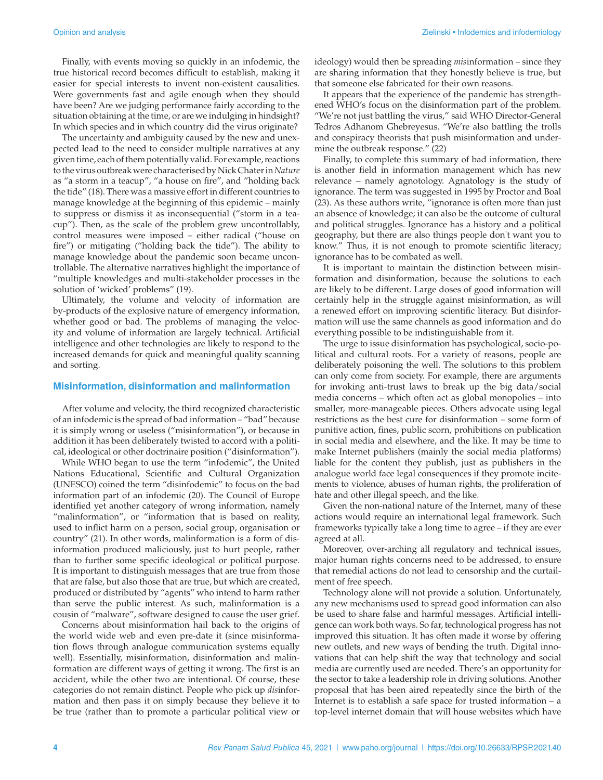Finally, with events moving so quickly in an infodemic, the true historical record becomes difficult to establish, making it easier for special interests to invent non-existent causalities. Were governments fast and agile enough when they should have been? Are we judging performance fairly according to the situation obtaining at the time, or are we indulging in hindsight? In which species and in which country did the virus originate?

The uncertainty and ambiguity caused by the new and unexpected lead to the need to consider multiple narratives at any given time, each of them potentially valid. For example, reactions to the virus outbreak were characterised by Nick Chater in *Nature* as "a storm in a teacup", "a house on fire", and "holding back the tide" (18). There was a massive effort in different countries to manage knowledge at the beginning of this epidemic – mainly to suppress or dismiss it as inconsequential ("storm in a teacup"). Then, as the scale of the problem grew uncontrollably, control measures were imposed – either radical ("house on fire") or mitigating ("holding back the tide"). The ability to manage knowledge about the pandemic soon became uncontrollable. The alternative narratives highlight the importance of "multiple knowledges and multi-stakeholder processes in the solution of 'wicked' problems" (19).

Ultimately, the volume and velocity of information are by-products of the explosive nature of emergency information, whether good or bad. The problems of managing the velocity and volume of information are largely technical. Artificial intelligence and other technologies are likely to respond to the increased demands for quick and meaningful quality scanning and sorting.

#### **Misinformation, disinformation and malinformation**

After volume and velocity, the third recognized characteristic of an infodemic is the spread of bad information – "bad" because it is simply wrong or useless ("misinformation"), or because in addition it has been deliberately twisted to accord with a political, ideological or other doctrinaire position ("disinformation").

While WHO began to use the term "infodemic", the United Nations Educational, Scientific and Cultural Organization (UNESCO) coined the term "disinfodemic" to focus on the bad information part of an infodemic (20). The Council of Europe identified yet another category of wrong information, namely "malinformation", or "information that is based on reality, used to inflict harm on a person, social group, organisation or country" (21). In other words, malinformation is a form of disinformation produced maliciously, just to hurt people, rather than to further some specific ideological or political purpose. It is important to distinguish messages that are true from those that are false, but also those that are true, but which are created, produced or distributed by "agents" who intend to harm rather than serve the public interest. As such, malinformation is a cousin of "malware", software designed to cause the user grief.

Concerns about misinformation hail back to the origins of the world wide web and even pre-date it (since misinformation flows through analogue communication systems equally well). Essentially, misinformation, disinformation and malinformation are different ways of getting it wrong. The first is an accident, while the other two are intentional. Of course, these categories do not remain distinct. People who pick up *dis*information and then pass it on simply because they believe it to be true (rather than to promote a particular political view or

ideology) would then be spreading *mis*information – since they are sharing information that they honestly believe is true, but that someone else fabricated for their own reasons.

It appears that the experience of the pandemic has strengthened WHO's focus on the disinformation part of the problem. "We're not just battling the virus," said WHO Director-General Tedros Adhanom Ghebreyesus. "We're also battling the trolls and conspiracy theorists that push misinformation and undermine the outbreak response." (22)

Finally, to complete this summary of bad information, there is another field in information management which has new relevance – namely agnotology. Agnatology is the study of ignorance. The term was suggested in 1995 by Proctor and Boal (23). As these authors write, "ignorance is often more than just an absence of knowledge; it can also be the outcome of cultural and political struggles. Ignorance has a history and a political geography, but there are also things people don't want you to know." Thus, it is not enough to promote scientific literacy; ignorance has to be combated as well.

It is important to maintain the distinction between misinformation and disinformation, because the solutions to each are likely to be different. Large doses of good information will certainly help in the struggle against misinformation, as will a renewed effort on improving scientific literacy. But disinformation will use the same channels as good information and do everything possible to be indistinguishable from it.

The urge to issue disinformation has psychological, socio-political and cultural roots. For a variety of reasons, people are deliberately poisoning the well. The solutions to this problem can only come from society. For example, there are arguments for invoking anti-trust laws to break up the big data/social media concerns – which often act as global monopolies – into smaller, more-manageable pieces. Others advocate using legal restrictions as the best cure for disinformation – some form of punitive action, fines, public scorn, prohibitions on publication in social media and elsewhere, and the like. It may be time to make Internet publishers (mainly the social media platforms) liable for the content they publish, just as publishers in the analogue world face legal consequences if they promote incitements to violence, abuses of human rights, the proliferation of hate and other illegal speech, and the like.

Given the non-national nature of the Internet, many of these actions would require an international legal framework. Such frameworks typically take a long time to agree – if they are ever agreed at all.

Moreover, over-arching all regulatory and technical issues, major human rights concerns need to be addressed, to ensure that remedial actions do not lead to censorship and the curtailment of free speech.

Technology alone will not provide a solution. Unfortunately, any new mechanisms used to spread good information can also be used to share false and harmful messages. Artificial intelligence can work both ways. So far, technological progress has not improved this situation. It has often made it worse by offering new outlets, and new ways of bending the truth. Digital innovations that can help shift the way that technology and social media are currently used are needed. There's an opportunity for the sector to take a leadership role in driving solutions. Another proposal that has been aired repeatedly since the birth of the Internet is to establish a safe space for trusted information – a top-level internet domain that will house websites which have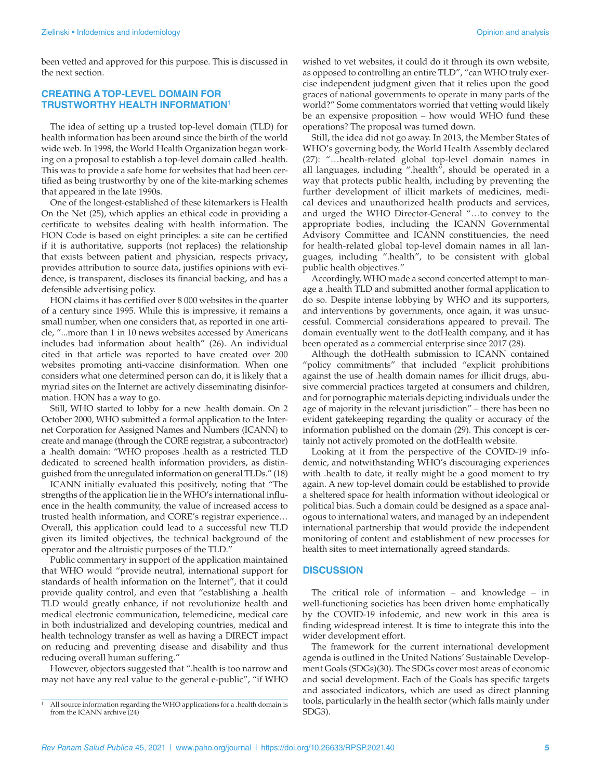been vetted and approved for this purpose. This is discussed in the next section.

#### **CREATING A TOP-LEVEL DOMAIN FOR TRUSTWORTHY HEALTH INFORMATION1**

The idea of setting up a trusted top-level domain (TLD) for health information has been around since the birth of the world wide web. In 1998, the World Health Organization began working on a proposal to establish a top-level domain called .health. This was to provide a safe home for websites that had been certified as being trustworthy by one of the kite-marking schemes that appeared in the late 1990s.

One of the longest-established of these kitemarkers is Health On the Net (25), which applies an ethical code in providing a certificate to websites dealing with health information. The HON Code is based on eight principles: a site can be certified if it is authoritative, supports (not replaces) the relationship that exists between patient and physician, respects privacy**,** provides attribution to source data, justifies opinions with evidence, is transparent, discloses its financial backing, and has a defensible advertising policy.

HON claims it has certified over 8 000 websites in the quarter of a century since 1995. While this is impressive, it remains a small number, when one considers that, as reported in one article, "...more than 1 in 10 news websites accessed by Americans includes bad information about health" (26). An individual cited in that article was reported to have created over 200 websites promoting anti-vaccine disinformation. When one considers what one determined person can do, it is likely that a myriad sites on the Internet are actively disseminating disinformation. HON has a way to go.

Still, WHO started to lobby for a new .health domain. On 2 October 2000, WHO submitted a formal application to the Internet Corporation for Assigned Names and Numbers (ICANN) to create and manage (through the CORE registrar, a subcontractor) a .health domain: "WHO proposes .health as a restricted TLD dedicated to screened health information providers, as distinguished from the unregulated information on general TLDs." (18)

ICANN initially evaluated this positively, noting that "The strengths of the application lie in the WHO's international influence in the health community, the value of increased access to trusted health information, and CORE's registrar experience… Overall, this application could lead to a successful new TLD given its limited objectives, the technical background of the operator and the altruistic purposes of the TLD."

Public commentary in support of the application maintained that WHO would "provide neutral, international support for standards of health information on the Internet", that it could provide quality control, and even that "establishing a .health TLD would greatly enhance, if not revolutionize health and medical electronic communication, telemedicine, medical care in both industrialized and developing countries, medical and health technology transfer as well as having a DIRECT impact on reducing and preventing disease and disability and thus reducing overall human suffering."

However, objectors suggested that ".health is too narrow and may not have any real value to the general e-public", "if WHO

wished to vet websites, it could do it through its own website, as opposed to controlling an entire TLD", "can WHO truly exercise independent judgment given that it relies upon the good graces of national governments to operate in many parts of the world?" Some commentators worried that vetting would likely be an expensive proposition – how would WHO fund these operations? The proposal was turned down.

Still, the idea did not go away. In 2013, the Member States of WHO's governing body, the World Health Assembly declared (27): "…health-related global top-level domain names in all languages, including ".health", should be operated in a way that protects public health, including by preventing the further development of illicit markets of medicines, medical devices and unauthorized health products and services, and urged the WHO Director-General "…to convey to the appropriate bodies, including the ICANN Governmental Advisory Committee and ICANN constituencies, the need for health-related global top-level domain names in all languages, including ".health", to be consistent with global public health objectives."

Accordingly, WHO made a second concerted attempt to manage a .health TLD and submitted another formal application to do so. Despite intense lobbying by WHO and its supporters, and interventions by governments, once again, it was unsuccessful. Commercial considerations appeared to prevail. The domain eventually went to the dotHealth company, and it has been operated as a commercial enterprise since 2017 (28).

Although the dotHealth submission to ICANN contained "policy commitments" that included "explicit prohibitions against the use of .health domain names for illicit drugs, abusive commercial practices targeted at consumers and children, and for pornographic materials depicting individuals under the age of majority in the relevant jurisdiction" – there has been no evident gatekeeping regarding the quality or accuracy of the information published on the domain (29). This concept is certainly not actively promoted on the dotHealth website.

Looking at it from the perspective of the COVID-19 infodemic, and notwithstanding WHO's discouraging experiences with .health to date, it really might be a good moment to try again. A new top-level domain could be established to provide a sheltered space for health information without ideological or political bias. Such a domain could be designed as a space analogous to international waters, and managed by an independent international partnership that would provide the independent monitoring of content and establishment of new processes for health sites to meet internationally agreed standards.

#### **DISCUSSION**

The critical role of information – and knowledge – in well-functioning societies has been driven home emphatically by the COVID-19 infodemic, and new work in this area is finding widespread interest. It is time to integrate this into the wider development effort.

The framework for the current international development agenda is outlined in the United Nations' Sustainable Development Goals (SDGs)(30). The SDGs cover most areas of economic and social development. Each of the Goals has specific targets and associated indicators, which are used as direct planning tools, particularly in the health sector (which falls mainly under SDG3).

<sup>&</sup>lt;sup>1</sup> All source information regarding the WHO applications for a .health domain is from the ICANN archive (24)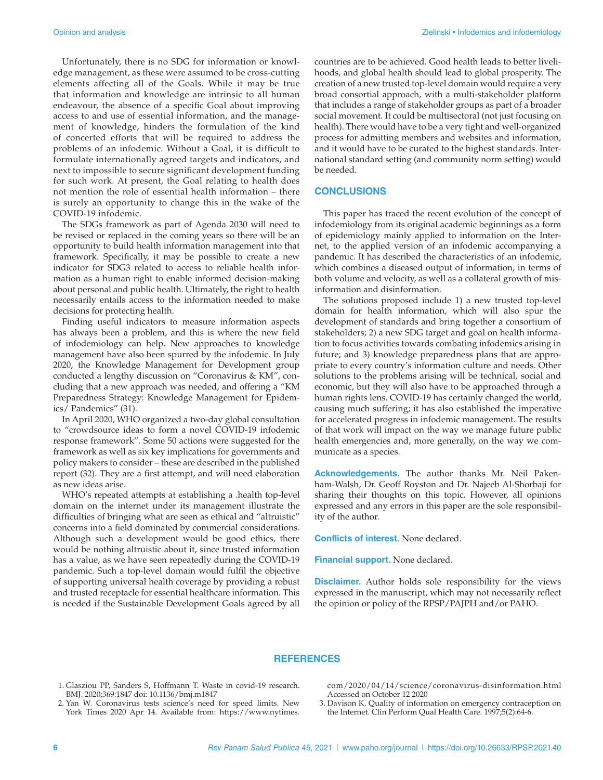Unfortunately, there is no SDG for information or knowledge management, as these were assumed to be cross-cutting elements affecting all of the Goals. While it may be true that information and knowledge are intrinsic to all human endeavour, the absence of a specific Goal about improving access to and use of essential information, and the management of knowledge, hinders the formulation of the kind of concerted efforts that will be required to address the problems of an infodemic. Without a Goal, it is difficult to formulate internationally agreed targets and indicators, and next to impossible to secure significant development funding for such work. At present, the Goal relating to health does not mention the role of essential health information – there is surely an opportunity to change this in the wake of the COVID-19 infodemic.

The SDGs framework as part of Agenda 2030 will need to be revised or replaced in the coming years so there will be an opportunity to build health information management into that framework. Specifically, it may be possible to create a new indicator for SDG3 related to access to reliable health information as a human right to enable informed decision-making about personal and public health. Ultimately, the right to health necessarily entails access to the information needed to make decisions for protecting health.

Finding useful indicators to measure information aspects has always been a problem, and this is where the new field of infodemiology can help. New approaches to knowledge management have also been spurred by the infodemic. In July 2020, the Knowledge Management for Development group conducted a lengthy discussion on "Coronavirus & KM", concluding that a new approach was needed, and offering a "KM Preparedness Strategy: Knowledge Management for Epidemics/ Pandemics" (31).

In April 2020, WHO organized a two-day global consultation to "crowdsource ideas to form a novel COVID-19 infodemic response framework". Some 50 actions were suggested for the framework as well as six key implications for governments and policy makers to consider – these are described in the published report (32). They are a first attempt, and will need elaboration as new ideas arise.

WHO's repeated attempts at establishing a .health top-level domain on the internet under its management illustrate the difficulties of bringing what are seen as ethical and "altruistic" concerns into a field dominated by commercial considerations. Although such a development would be good ethics, there would be nothing altruistic about it, since trusted information has a value, as we have seen repeatedly during the COVID-19 pandemic. Such a top-level domain would fulfil the objective of supporting universal health coverage by providing a robust and trusted receptacle for essential healthcare information. This is needed if the Sustainable Development Goals agreed by all

countries are to be achieved. Good health leads to better livelihoods, and global health should lead to global prosperity. The creation of a new trusted top-level domain would require a very broad consortial approach, with a multi-stakeholder platform that includes a range of stakeholder groups as part of a broader social movement. It could be multisectoral (not just focusing on health). There would have to be a very tight and well-organized process for admitting members and websites and information, and it would have to be curated to the highest standards. International standard setting (and community norm setting) would be needed.

#### **CONCLUSIONS**

This paper has traced the recent evolution of the concept of infodemiology from its original academic beginnings as a form of epidemiology mainly applied to information on the Internet, to the applied version of an infodemic accompanying a pandemic. It has described the characteristics of an infodemic, which combines a diseased output of information, in terms of both volume and velocity, as well as a collateral growth of misinformation and disinformation.

The solutions proposed include 1) a new trusted top-level domain for health information, which will also spur the development of standards and bring together a consortium of stakeholders; 2) a new SDG target and goal on health information to focus activities towards combating infodemics arising in future; and 3) knowledge preparedness plans that are appropriate to every country's information culture and needs. Other solutions to the problems arising will be technical, social and economic, but they will also have to be approached through a human rights lens. COVID-19 has certainly changed the world, causing much suffering; it has also established the imperative for accelerated progress in infodemic management. The results of that work will impact on the way we manage future public health emergencies and, more generally, on the way we communicate as a species.

**Acknowledgements.** The author thanks Mr. Neil Pakenham-Walsh, Dr. Geoff Royston and Dr. Najeeb Al-Shorbaji for sharing their thoughts on this topic. However, all opinions expressed and any errors in this paper are the sole responsibility of the author.

**Conflicts of interest.** None declared.

**Financial support.** None declared.

**Disclaimer.** Author holds sole responsibility for the views expressed in the manuscript, which may not necessarily reflect the opinion or policy of the RPSP/PAJPH and/or PAHO.

#### **REFERENCES**

- 1. Glasziou PP, Sanders S, Hoffmann T. Waste in covid-19 research. BMJ. 2020;369:1847 doi: 10.1136/bmj.m1847
- 2. Yan W. Coronavirus tests science's need for speed limits. New York Times 2020 Apr 14. Available from: [https://www.nytimes.](https://www.nytimes.com/2020/04/14/science/coronavirus-disinformation.html)

[com/2020/04/14/science/coronavirus-disinformation.html](https://www.nytimes.com/2020/04/14/science/coronavirus-disinformation.html) Accessed on October 12 2020

3. Davison K. Quality of information on emergency contraception on the Internet. Clin Perform Qual Health Care. 1997;5(2):64-6.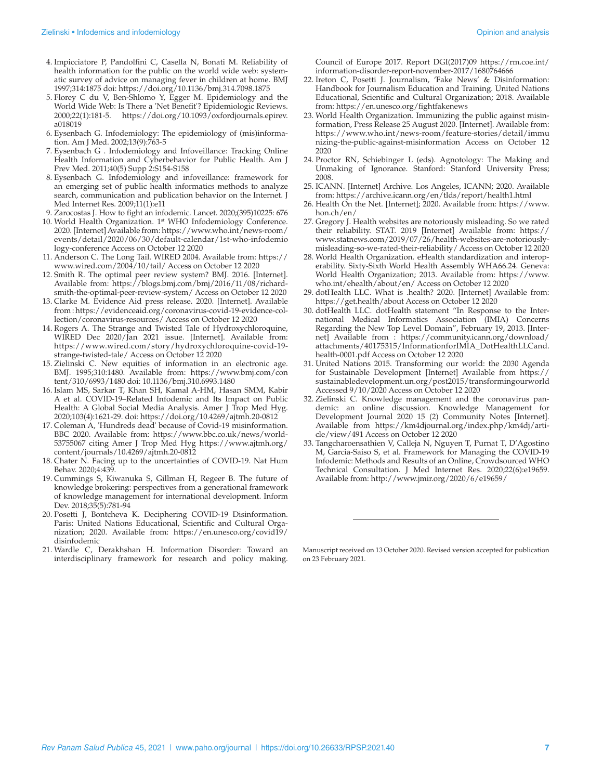- 4. Impicciatore P, Pandolfini C, Casella N, Bonati M. Reliability of health information for the public on the world wide web: systematic survey of advice on managing fever in children at home. BMJ 1997;314:1875 doi: <https://doi.org/10.1136/bmj.314.7098.1875>
- 5. Florey C du V, Ben-Shlomo Y, Egger M. Epidemiology and the World Wide Web: Is There a 'Net Benefit'? Epidemiologic Reviews. 2000;22(1):181-5. [https://doi.org/10.1093/oxfordjournals.epirev.](https://doi.org/10.1093/oxfordjournals.epirev.a018019) [a018019](https://doi.org/10.1093/oxfordjournals.epirev.a018019)
- 6. Eysenbach G. Infodemiology: The epidemiology of (mis)information. Am J Med. 2002;13(9):763-5
- 7. Eysenbach G . Infodemiology and Infoveillance: Tracking Online Health Information and Cyberbehavior for Public Health. Am J Prev Med. 2011;40(5) Supp 2:S154-S158
- 8. Eysenbach G. Infodemiology and infoveillance: framework for an emerging set of public health informatics methods to analyze search, communication and publication behavior on the Internet. J Med Internet Res. 2009;11(1):e11
- 9. Zarocostas J. How to fight an infodemic. Lancet. 2020;(395)10225: 676
- 10. World Health Organization. 1st WHO Infodemiology Conference. 2020. [Internet] Available from: [https://www.who.int/news-room/](https://www.who.int/news-room/events/detail/2020/06/30/default-calendar/1st-who-infodemiology-conference) [events/detail/2020/06/30/default-calendar/1st-who-infodemio](https://www.who.int/news-room/events/detail/2020/06/30/default-calendar/1st-who-infodemiology-conference) [logy-conference](https://www.who.int/news-room/events/detail/2020/06/30/default-calendar/1st-who-infodemiology-conference) Access on October 12 2020
- 11. Anderson C. The Long Tail. WIRED 2004. Available from: [https://](https://www.wired.com/2004/10/tail/) [www.wired.com/2004/10/tail/](https://www.wired.com/2004/10/tail/) Access on October 12 2020
- 12. Smith R. The optimal peer review system? BMJ. 2016. [Internet]. Available from: [https://blogs.bmj.com/bmj/2016/11/08/richard](https://blogs.bmj.com/bmj/2016/11/08/richard-smith-the-optimal-peer-review-system/)[smith-the-optimal-peer-review-system/](https://blogs.bmj.com/bmj/2016/11/08/richard-smith-the-optimal-peer-review-system/) Access on October 12 2020
- 13. Clarke M. Evidence Aid press release. 2020. [Internet]. Available from : [https://evidenceaid.org/coronavirus-covid-19-evidence-col](https://evidenceaid.org/coronavirus-covid-19-evidence-collection/coronavirus-resources/)[lection/coronavirus-resources/](https://evidenceaid.org/coronavirus-covid-19-evidence-collection/coronavirus-resources/) Access on October 12 2020
- 14. Rogers A. The Strange and Twisted Tale of Hydroxychloroquine, WIRED Dec 2020/Jan 2021 issue. [Internet]. Available from: [https://www.wired.com/story/hydroxychloroquine-covid-19](https://www.wired.com/story/hydroxychloroquine-covid-19-strange-twisted-tale/) [strange-twisted-tale/](https://www.wired.com/story/hydroxychloroquine-covid-19-strange-twisted-tale/) Access on October 12 2020
- 15. Zielinski C. New equities of information in an electronic age. BMJ. 1995;310:1480. Available from: [https://www.bmj.com/con](https://www.bmj.com/content/310/6993/1480) [tent/310/6993/1480](https://www.bmj.com/content/310/6993/1480) doi: 10.1136/bmj.310.6993.1480
- 16. Islam MS, Sarkar T, Khan SH, Kamal A-HM, Hasan SMM, Kabir A et al. COVID-19–Related Infodemic and Its Impact on Public Health: A Global Social Media Analysis. Amer J Trop Med Hyg. 2020;103(4):1621-29. doi: <https://doi.org/10.4269/ajtmh.20-0812>
- 17. Coleman A, 'Hundreds dead' because of Covid-19 misinformation. BBC 2020. Available from: [https://www.bbc.co.uk/news/world-](https://www.bbc.co.uk/news/world-53755067)[53755067](https://www.bbc.co.uk/news/world-53755067) citing Amer J Trop Med Hyg [https://www.ajtmh.org/](https://www.ajtmh.org/content/journals/10.4269/ajtmh.20-0812) [content/journals/10.4269/ajtmh.20-0812](https://www.ajtmh.org/content/journals/10.4269/ajtmh.20-0812)
- 18. Chater N. Facing up to the uncertainties of COVID-19. Nat Hum Behav. 2020;4:439.
- 19. Cummings S, Kiwanuka S, Gillman H, Regeer B. The future of knowledge brokering: perspectives from a generational framework of knowledge management for international development. Inform Dev. 2018;35(5):781-94
- 20. Posetti J, Bontcheva K. Deciphering COVID-19 Disinformation. Paris: United Nations Educational, Scientific and Cultural Organization; 2020. Available from: [https://en.unesco.org/covid19/](https://en.unesco.org/covid19/disinfodemic) [disinfodemic](https://en.unesco.org/covid19/disinfodemic)
- 21. Wardle C, Derakhshan H. Information Disorder: Toward an interdisciplinary framework for research and policy making.

Council of Europe 2017. Report DGI(2017)09 [https://rm.coe.int/](https://rm.coe.int/information-disorder-report-november-2017/1680764666) [information-disorder-report-november-2017/1680764666](https://rm.coe.int/information-disorder-report-november-2017/1680764666)

- 22. Ireton C, Posetti J. Journalism, 'Fake News' & Disinformation: Handbook for Journalism Education and Training. United Nations Educational, Scientific and Cultural Organization; 2018. Available from: <https://en.unesco.org/fightfakenews>
- 23. World Health Organization. Immunizing the public against misinformation, Press Release 25 August 2020. [Internet]. Available from: [https://www.who.int/news-room/feature-stories/detail/immu](https://www.who.int/news-room/feature-stories/detail/immunizing-the-public-against-misinformation) [nizing-the-public-against-misinformation](https://www.who.int/news-room/feature-stories/detail/immunizing-the-public-against-misinformation) Access on October 12 2020
- 24. Proctor RN, Schiebinger L (eds). Agnotology: The Making and Unmaking of Ignorance. Stanford: Stanford University Press; 2008.
- 25. ICANN. [Internet] Archive. Los Angeles, ICANN; 2020. Available from: <https://archive.icann.org/en/tlds/report/health1.html>
- 26. Health On the Net. [Internet]; 2020. Available from: [https://www.](https://www.hon.ch/en/) [hon.ch/en/](https://www.hon.ch/en/)
- 27. Gregory J. Health websites are notoriously misleading. So we rated their reliability. STAT. 2019 [Internet] Available from: [https://](https://www.statnews.com/2019/07/26/health-websites-are-notoriously-misleading-so-we-rated-their-reliability/) [www.statnews.com/2019/07/26/health-websites-are-notoriously](https://www.statnews.com/2019/07/26/health-websites-are-notoriously-misleading-so-we-rated-their-reliability/)[misleading-so-we-rated-their-reliability/](https://www.statnews.com/2019/07/26/health-websites-are-notoriously-misleading-so-we-rated-their-reliability/) Access on October 12 2020
- 28. World Health Organization. eHealth standardization and interoperability. Sixty-Sixth World Health Assembly WHA66.24. Geneva: World Health Organization; 2013. Available from: [https://www.](https://www.who.int/ehealth/about/en/) [who.int/ehealth/about/en/](https://www.who.int/ehealth/about/en/) Access on October 12 2020
- 29. dotHealth LLC. What is .health? 2020. [Internet] Available from: <https://get.health/about> Access on October 12 2020
- 30. dotHealth LLC. dotHealth statement "In Response to the International Medical Informatics Association (IMIA) Concerns Regarding the New Top Level Domain", February 19, 2013. [Internet] Available from : [https://community.icann.org/download/](https://community.icann.org/download/attachments/40175315/InformationforIMIA_DotHealthLLCand.health-0001.pdf) [attachments/40175315/InformationforIMIA\\_DotHealthLLCand.](https://community.icann.org/download/attachments/40175315/InformationforIMIA_DotHealthLLCand.health-0001.pdf) [health-0001.pdf](https://community.icann.org/download/attachments/40175315/InformationforIMIA_DotHealthLLCand.health-0001.pdf) Access on October 12 2020
- 31. United Nations 2015. Transforming our world: the 2030 Agenda for Sustainable Development [Internet] Available from [https://](https://sustainabledevelopment.un.org/post2015/transformingourworld) [sustainabledevelopment.un.org/post2015/transformingourworld](https://sustainabledevelopment.un.org/post2015/transformingourworld) Accessed 9/10/2020 Access on October 12 2020
- 32. Zielinski C. Knowledge management and the coronavirus pandemic: an online discussion. Knowledge Management for Development Journal 2020 15 (2) Community Notes [Internet]. Available from [https://km4djournal.org/index.php/km4dj/arti](https://km4djournal.org/index.php/km4dj/article/view/491)[cle/view/491](https://km4djournal.org/index.php/km4dj/article/view/491) Access on October 12 2020
- 33. Tangcharoensathien V, Calleja N, Nguyen T, Purnat T, D'Agostino M, Garcia-Saiso S, et al. Framework for Managing the COVID-19 Infodemic: Methods and Results of an Online, Crowdsourced WHO Technical Consultation. J Med Internet Res. 2020;22(6):e19659. Available from: <http://www.jmir.org/2020/6/e19659/>

Manuscript received on 13 October 2020. Revised version accepted for publication on 23 February 2021.